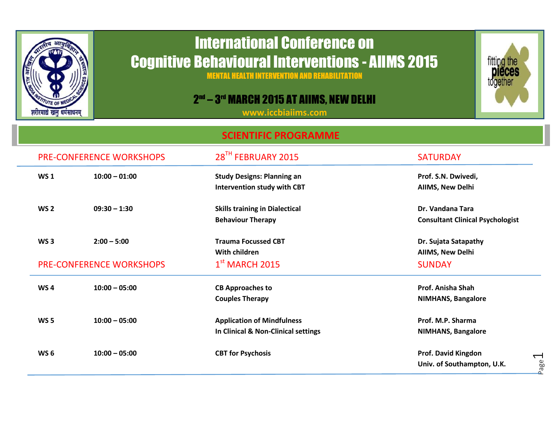

## International Conference on Cognitive Behavioural Interventions - AIIMS 2015

MENTAL HEALTH INTERVENTION AND REHABILITATION

## 2<sup>nd</sup> – 3<sup>rd</sup> March 2015 at Aiims, New Delhi

**[www.iccbiaiims.com](http://www.iccbiaiims.com/)**

## **SCIENTIFIC PROGRAMME**

|  | <b>PRE-CONFERENCE WORKSHOPS</b>                                     |                 | 28TH FEBRUARY 2015                                                       | <b>SATURDAY</b>                                             |  |
|--|---------------------------------------------------------------------|-----------------|--------------------------------------------------------------------------|-------------------------------------------------------------|--|
|  | <b>WS1</b>                                                          | $10:00 - 01:00$ | <b>Study Designs: Planning an</b><br><b>Intervention study with CBT</b>  | Prof. S.N. Dwivedi,<br>AIIMS, New Delhi                     |  |
|  | WS <sub>2</sub>                                                     | $09:30 - 1:30$  | <b>Skills training in Dialectical</b><br><b>Behaviour Therapy</b>        | Dr. Vandana Tara<br><b>Consultant Clinical Psychologist</b> |  |
|  | WS <sub>3</sub><br>$2:00 - 5:00$<br><b>PRE-CONFERENCE WORKSHOPS</b> |                 | <b>Trauma Focussed CBT</b><br>With children                              | Dr. Sujata Satapathy<br>AIIMS, New Delhi                    |  |
|  |                                                                     |                 | $1st$ MARCH 2015                                                         | <b>SUNDAY</b>                                               |  |
|  | WS <sub>4</sub>                                                     | $10:00 - 05:00$ | <b>CB Approaches to</b><br><b>Couples Therapy</b>                        | Prof. Anisha Shah<br><b>NIMHANS, Bangalore</b>              |  |
|  | <b>WS 5</b>                                                         | $10:00 - 05:00$ | <b>Application of Mindfulness</b><br>In Clinical & Non-Clinical settings | Prof. M.P. Sharma<br><b>NIMHANS, Bangalore</b>              |  |
|  | WS <sub>6</sub>                                                     | $10:00 - 05:00$ | <b>CBT for Psychosis</b>                                                 | Prof. David Kingdon<br>Univ. of Southampton, U.K.           |  |

Page  $\overline{\phantom{0}}$ 

fitting the<br>**Dieces**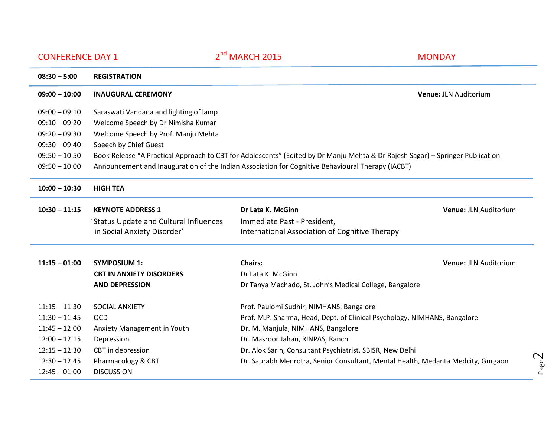| <b>CONFERENCE DAY 1</b> |                                                                                                                                | 2 <sup>nd</sup> MARCH 2015                                                                        | <b>MONDAY</b>                |  |  |
|-------------------------|--------------------------------------------------------------------------------------------------------------------------------|---------------------------------------------------------------------------------------------------|------------------------------|--|--|
| $08:30 - 5:00$          | <b>REGISTRATION</b>                                                                                                            |                                                                                                   |                              |  |  |
| $09:00 - 10:00$         | <b>INAUGURAL CEREMONY</b>                                                                                                      |                                                                                                   | <b>Venue: JLN Auditorium</b> |  |  |
| $09:00 - 09:10$         | Saraswati Vandana and lighting of lamp                                                                                         |                                                                                                   |                              |  |  |
| $09:10 - 09:20$         | Welcome Speech by Dr Nimisha Kumar                                                                                             |                                                                                                   |                              |  |  |
| $09:20 - 09:30$         | Welcome Speech by Prof. Manju Mehta                                                                                            |                                                                                                   |                              |  |  |
| $09:30 - 09:40$         | Speech by Chief Guest                                                                                                          |                                                                                                   |                              |  |  |
| $09:50 - 10:50$         | Book Release "A Practical Approach to CBT for Adolescents" (Edited by Dr Manju Mehta & Dr Rajesh Sagar) – Springer Publication |                                                                                                   |                              |  |  |
| $09:50 - 10:00$         |                                                                                                                                | Announcement and Inauguration of the Indian Association for Cognitive Behavioural Therapy (IACBT) |                              |  |  |
| $10:00 - 10:30$         | <b>HIGH TEA</b>                                                                                                                |                                                                                                   |                              |  |  |
| $10:30 - 11:15$         | <b>KEYNOTE ADDRESS 1</b>                                                                                                       | Dr Lata K. McGinn                                                                                 | <b>Venue: JLN Auditorium</b> |  |  |
|                         | 'Status Update and Cultural Influences                                                                                         | Immediate Past - President,                                                                       |                              |  |  |
|                         | in Social Anxiety Disorder'                                                                                                    | International Association of Cognitive Therapy                                                    |                              |  |  |
| $11:15 - 01:00$         | <b>SYMPOSIUM 1:</b>                                                                                                            | <b>Chairs:</b>                                                                                    | <b>Venue: JLN Auditorium</b> |  |  |

**AND DEPRESSION** Dr Tanya Machado, St. John's Medical College, Bangalore

11:30 – 11:45 OCD Prof. M.P. Sharma, Head, Dept. of Clinical Psychology, NIMHANS, Bangalore

**CBT IN ANXIETY DISORDERS** Dr Lata K. McGinn

11:15 – 11:30 SOCIAL ANXIETY Prof. Paulomi Sudhir, NIMHANS, Bangalore

12:15 – 12:30 CBT in depression Dr. Alok Sarin, Consultant Psychiatrist, SBISR, New Delhi

11:45 – 12:00 Anxiety Management in Youth Dr. M. Manjula, NIMHANS, Bangalore 12:00 – 12:15 Depression Dr. Masroor Jahan, RINPAS, Ranchi

12:30 – 12:45 Pharmacology & CBT Dr. Saurabh Menrotra, Senior Consultant, Mental Health, Medanta Medcity, Gurgaon

12:45 – 01:00 DISCUSSION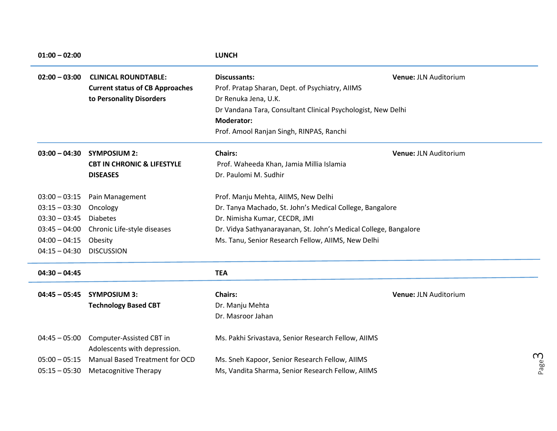| $01:00 - 02:00$ |                                                          | <b>LUNCH</b>                                                     |                       |          |
|-----------------|----------------------------------------------------------|------------------------------------------------------------------|-----------------------|----------|
| $02:00 - 03:00$ | <b>CLINICAL ROUNDTABLE:</b>                              | <b>Discussants:</b>                                              | Venue: JLN Auditorium |          |
|                 | <b>Current status of CB Approaches</b>                   | Prof. Pratap Sharan, Dept. of Psychiatry, AIIMS                  |                       |          |
|                 | to Personality Disorders                                 | Dr Renuka Jena, U.K.                                             |                       |          |
|                 |                                                          | Dr Vandana Tara, Consultant Clinical Psychologist, New Delhi     |                       |          |
|                 |                                                          | <b>Moderator:</b>                                                |                       |          |
|                 |                                                          | Prof. Amool Ranjan Singh, RINPAS, Ranchi                         |                       |          |
| $03:00 - 04:30$ | <b>SYMPOSIUM 2:</b>                                      | <b>Chairs:</b>                                                   | Venue: JLN Auditorium |          |
|                 | <b>CBT IN CHRONIC &amp; LIFESTYLE</b>                    | Prof. Waheeda Khan, Jamia Millia Islamia                         |                       |          |
|                 | <b>DISEASES</b>                                          | Dr. Paulomi M. Sudhir                                            |                       |          |
| $03:00 - 03:15$ | Pain Management                                          | Prof. Manju Mehta, AllMS, New Delhi                              |                       |          |
| $03:15 - 03:30$ | Oncology                                                 | Dr. Tanya Machado, St. John's Medical College, Bangalore         |                       |          |
| $03:30 - 03:45$ | <b>Diabetes</b>                                          | Dr. Nimisha Kumar, CECDR, JMI                                    |                       |          |
| $03:45 - 04:00$ | Chronic Life-style diseases                              | Dr. Vidya Sathyanarayanan, St. John's Medical College, Bangalore |                       |          |
| $04:00 - 04:15$ | Obesity                                                  | Ms. Tanu, Senior Research Fellow, AIIMS, New Delhi               |                       |          |
| $04:15 - 04:30$ | <b>DISCUSSION</b>                                        |                                                                  |                       |          |
| $04:30 - 04:45$ |                                                          | <b>TEA</b>                                                       |                       |          |
| $04:45 - 05:45$ | <b>SYMPOSIUM 3:</b>                                      | <b>Chairs:</b>                                                   | Venue: JLN Auditorium |          |
|                 | <b>Technology Based CBT</b>                              | Dr. Manju Mehta                                                  |                       |          |
|                 |                                                          | Dr. Masroor Jahan                                                |                       |          |
| $04:45 - 05:00$ | Computer-Assisted CBT in<br>Adolescents with depression. | Ms. Pakhi Srivastava, Senior Research Fellow, AIIMS              |                       |          |
| $05:00 - 05:15$ | <b>Manual Based Treatment for OCD</b>                    | Ms. Sneh Kapoor, Senior Research Fellow, AIIMS                   |                       | $\infty$ |
| $05:15 - 05:30$ | Metacognitive Therapy                                    | Ms, Vandita Sharma, Senior Research Fellow, AIIMS                |                       | Page.    |

05:15 – 05:30 Metacognitive Therapy Ms, Vandita Sharma, Senior Research Fellow, AIIMS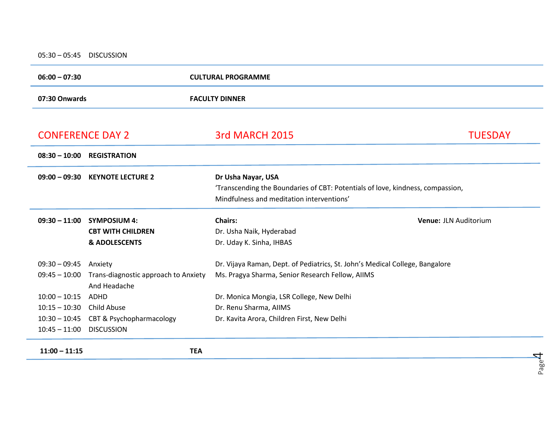05:30 – 05:45 DISCUSSION

 $\sim$ 

| $06:00 - 07:30$                             |                                                   | <b>CULTURAL PROGRAMME</b>                                                      |                       |  |
|---------------------------------------------|---------------------------------------------------|--------------------------------------------------------------------------------|-----------------------|--|
| 07:30 Onwards                               |                                                   | <b>FACULTY DINNER</b>                                                          |                       |  |
|                                             |                                                   |                                                                                |                       |  |
| <b>CONFERENCE DAY 2</b>                     |                                                   | 3rd MARCH 2015                                                                 | <b>TUESDAY</b>        |  |
| $08:30 - 10:00$                             | <b>REGISTRATION</b>                               |                                                                                |                       |  |
| $09:00 - 09:30$                             | <b>KEYNOTE LECTURE 2</b>                          | Dr Usha Nayar, USA                                                             |                       |  |
|                                             |                                                   | 'Transcending the Boundaries of CBT: Potentials of love, kindness, compassion, |                       |  |
|                                             |                                                   | Mindfulness and meditation interventions'                                      |                       |  |
| $09:30 - 11:00$                             | <b>SYMPOSIUM 4:</b>                               | <b>Chairs:</b>                                                                 | Venue: JLN Auditorium |  |
|                                             | <b>CBT WITH CHILDREN</b>                          | Dr. Usha Naik, Hyderabad                                                       |                       |  |
|                                             | <b>&amp; ADOLESCENTS</b>                          | Dr. Uday K. Sinha, IHBAS                                                       |                       |  |
| $09:30 - 09:45$<br>Anxiety                  |                                                   | Dr. Vijaya Raman, Dept. of Pediatrics, St. John's Medical College, Bangalore   |                       |  |
| $09:45 - 10:00$                             | Trans-diagnostic approach to Anxiety              | Ms. Pragya Sharma, Senior Research Fellow, AIIMS                               |                       |  |
|                                             | And Headache                                      |                                                                                |                       |  |
| $10:00 - 10:15$                             | ADHD<br>Dr. Monica Mongia, LSR College, New Delhi |                                                                                |                       |  |
| $10:15 - 10:30$                             | <b>Child Abuse</b>                                | Dr. Renu Sharma, AllMS                                                         |                       |  |
| $10:30 - 10:45$<br>CBT & Psychopharmacology |                                                   | Dr. Kavita Arora, Children First, New Delhi                                    |                       |  |
| $10:45 - 11:00$                             | <b>DISCUSSION</b>                                 |                                                                                |                       |  |
| $11:00 - 11:15$                             | <b>TEA</b>                                        |                                                                                |                       |  |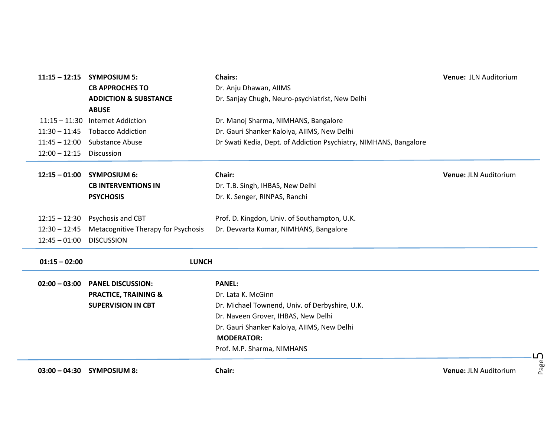| $11:15 - 12:15$ | <b>SYMPOSIUM 5:</b>                 | <b>Chairs:</b>                                                    | Venue: JLN Auditorium         |
|-----------------|-------------------------------------|-------------------------------------------------------------------|-------------------------------|
|                 | <b>CB APPROCHES TO</b>              | Dr. Anju Dhawan, AllMS                                            |                               |
|                 | <b>ADDICTION &amp; SUBSTANCE</b>    | Dr. Sanjay Chugh, Neuro-psychiatrist, New Delhi                   |                               |
|                 | <b>ABUSE</b>                        |                                                                   |                               |
| $11:15 - 11:30$ | <b>Internet Addiction</b>           | Dr. Manoj Sharma, NIMHANS, Bangalore                              |                               |
| $11:30 - 11:45$ | <b>Tobacco Addiction</b>            | Dr. Gauri Shanker Kaloiya, AllMS, New Delhi                       |                               |
| $11:45 - 12:00$ | Substance Abuse                     | Dr Swati Kedia, Dept. of Addiction Psychiatry, NIMHANS, Bangalore |                               |
| $12:00 - 12:15$ | <b>Discussion</b>                   |                                                                   |                               |
| $12:15 - 01:00$ | <b>SYMPOSIUM 6:</b>                 | Chair:                                                            | <b>Venue: JLN Auditorium</b>  |
|                 | <b>CB INTERVENTIONS IN</b>          | Dr. T.B. Singh, IHBAS, New Delhi                                  |                               |
|                 | <b>PSYCHOSIS</b>                    | Dr. K. Senger, RINPAS, Ranchi                                     |                               |
|                 |                                     |                                                                   |                               |
| $12:15 - 12:30$ | Psychosis and CBT                   | Prof. D. Kingdon, Univ. of Southampton, U.K.                      |                               |
| $12:30 - 12:45$ | Metacognitive Therapy for Psychosis | Dr. Devvarta Kumar, NIMHANS, Bangalore                            |                               |
| $12:45 - 01:00$ | <b>DISCUSSION</b>                   |                                                                   |                               |
| $01:15 - 02:00$ | <b>LUNCH</b>                        |                                                                   |                               |
|                 |                                     |                                                                   |                               |
| $02:00 - 03:00$ | <b>PANEL DISCUSSION:</b>            | <b>PANEL:</b>                                                     |                               |
|                 | <b>PRACTICE, TRAINING &amp;</b>     | Dr. Lata K. McGinn                                                |                               |
|                 | <b>SUPERVISION IN CBT</b>           | Dr. Michael Townend, Univ. of Derbyshire, U.K.                    |                               |
|                 |                                     | Dr. Naveen Grover, IHBAS, New Delhi                               |                               |
|                 |                                     | Dr. Gauri Shanker Kaloiya, AllMS, New Delhi                       |                               |
|                 |                                     | <b>MODERATOR:</b>                                                 |                               |
|                 |                                     | Prof. M.P. Sharma, NIMHANS                                        | ப                             |
| $03:00 - 04:30$ | <b>SYMPOSIUM 8:</b>                 | Chair:                                                            | Page<br>Venue: JLN Auditorium |

Page